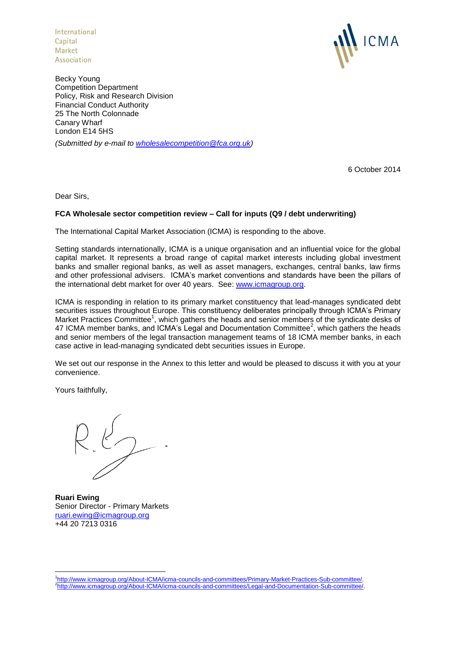International Capital Market<br>Association



Becky Young Competition Department Policy, Risk and Research Division Financial Conduct Authority 25 The North Colonnade Canary Wharf London E14 5HS *(Submitted by e-mail to [wholesalecompetition@fca.org.uk\)](mailto:wholesalecompetition@fca.org.uk)*

6 October 2014

Dear Sirs,

## **FCA Wholesale sector competition review – Call for inputs (Q9 / debt underwriting)**

The International Capital Market Association (ICMA) is responding to the above.

Setting standards internationally, ICMA is a unique organisation and an influential voice for the global capital market. It represents a broad range of capital market interests including global investment banks and smaller regional banks, as well as asset managers, exchanges, central banks, law firms and other professional advisers. ICMA's market conventions and standards have been the pillars of the international debt market for over 40 years. See: [www.icmagroup.org.](http://www.icmagroup.org/)

ICMA is responding in relation to its primary market constituency that lead-manages syndicated debt securities issues throughout Europe. This constituency deliberates principally through ICMA's Primary Market Practices Committee<sup>1</sup>, which gathers the heads and senior members of the syndicate desks of 47 ICMA member banks, and ICMA's Legal and Documentation Committee<sup>2</sup>, which gathers the heads and senior members of the legal transaction management teams of 18 ICMA member banks, in each case active in lead-managing syndicated debt securities issues in Europe.

We set out our response in the Annex to this letter and would be pleased to discuss it with you at your convenience.

Yours faithfully,

 $26 - 6$ 

**Ruari Ewing** Senior Director - Primary Markets [ruari.ewing@icmagroup.org](mailto:ruari.ewing@icmagroup.org) +44 20 7213 0316

<sup>1</sup> 1 [http://www.icmagroup.org/About-ICMA/icma-councils-and-committees/Primary-Market-Practices-Sub-committee/.](http://www.icmagroup.org/About-ICMA/icma-councils-and-committees/Primary-Market-Practices-Sub-committee/) 2 [http://www.icmagroup.org/About-ICMA/icma-councils-and-committees/Legal-and-Documentation-Sub-committee/.](http://www.icmagroup.org/About-ICMA/icma-councils-and-committees/Legal-and-Documentation-Sub-committee/)